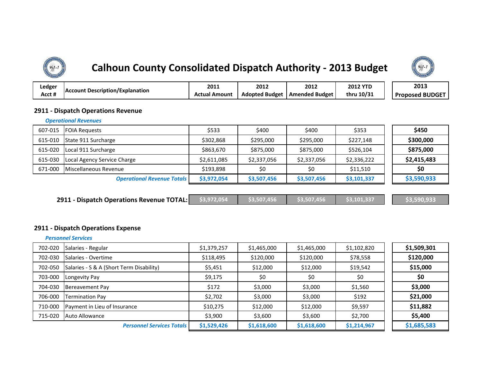# **Calhoun County Consolidated Dispatch Authority - 2013 Budget**



| ∟edger |                                         | 2011                 | 2012                  | 2012               | <b>2012 YTD</b> | 2013                   |
|--------|-----------------------------------------|----------------------|-----------------------|--------------------|-----------------|------------------------|
| Acct # | <b>IAccount Description/Explanation</b> | <b>Actual Amount</b> | <b>Adopted Budget</b> | i Amended Budget I | thru 10/31      | <b>Proposed BUDGET</b> |

### **2911 - Dispatch Operations Revenue**

#### *Operational Revenues*

| 607-015 | <b>FOIA Requests</b>              | \$533       | \$400       | \$400       | \$353       | \$450       |
|---------|-----------------------------------|-------------|-------------|-------------|-------------|-------------|
| 615-010 | State 911 Surcharge               | \$302,868   | \$295,000   | \$295,000   | \$227,148   | \$300,000   |
| 615-020 | Local 911 Surcharge               | \$863,670   | \$875,000   | \$875,000   | \$526,104   | \$875,000   |
| 615-030 | Local Agency Service Charge       | \$2,611,085 | \$2,337,056 | \$2,337,056 | \$2,336,222 | \$2,415,483 |
| 671-000 | Miscellaneous Revenue             | \$193.898   | \$0         | \$0         | \$11,510    | \$0         |
|         | <b>Operational Revenue Totals</b> | \$3,972,054 | \$3,507,456 | \$3,507,456 | \$3,101,337 | \$3,590,933 |

|  | <b>2911 - Dispatch Operations Revenue TOTAL:</b> $\left  \right $ \$3,972,054 $\left  \right $ \$3,507,456 $\left  \right $ \$3,507,456 |  |  |  | \$3.101.337 | S3.590.933 |
|--|-----------------------------------------------------------------------------------------------------------------------------------------|--|--|--|-------------|------------|
|--|-----------------------------------------------------------------------------------------------------------------------------------------|--|--|--|-------------|------------|

### **2911 - Dispatch Operations Expense**

|         | <b>Personnel Services</b>                |             |             |             |             |             |
|---------|------------------------------------------|-------------|-------------|-------------|-------------|-------------|
| 702-020 | Salaries - Regular                       | \$1,379,257 | \$1,465,000 | \$1,465,000 | \$1,102,820 | \$1,509,301 |
| 702-030 | Salaries - Overtime                      | \$118,495   | \$120,000   | \$120,000   | \$78,558    | \$120,000   |
| 702-050 | Salaries - S & A (Short Term Disability) | \$5,451     | \$12,000    | \$12,000    | \$19,542    | \$15,000    |
| 703-000 | Longevity Pay                            | \$9,175     | \$0         | \$0         | \$0         | \$0         |
| 704-030 | Bereavement Pay                          | \$172       | \$3,000     | \$3,000     | \$1,560     | \$3,000     |
| 706-000 | <b>Termination Pay</b>                   | \$2,702     | \$3,000     | \$3,000     | \$192       | \$21,000    |
| 710-000 | Payment in Lieu of Insurance             | \$10,275    | \$12,000    | \$12,000    | \$9,597     | \$11,882    |
| 715-020 | Auto Allowance                           | \$3,900     | \$3,600     | \$3,600     | \$2,700     | \$5,400     |
|         | <b>Personnel Services Totals</b>         | \$1,529,426 | \$1,618,600 | \$1,618,600 | \$1,214,967 | \$1,685,583 |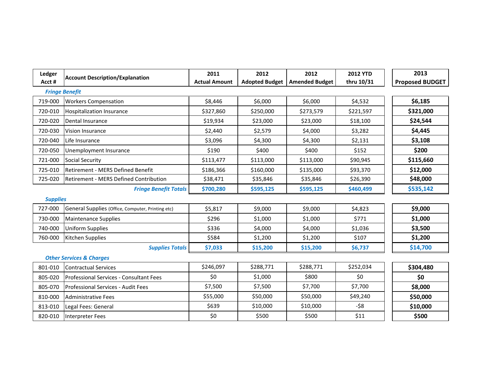| Ledger          | <b>Account Description/Explanation</b>            | 2011                 | 2012                  | 2012                  | <b>2012 YTD</b> | 2013                   |
|-----------------|---------------------------------------------------|----------------------|-----------------------|-----------------------|-----------------|------------------------|
| Acct#           |                                                   | <b>Actual Amount</b> | <b>Adopted Budget</b> | <b>Amended Budget</b> | thru 10/31      | <b>Proposed BUDGET</b> |
|                 | <b>Fringe Benefit</b>                             |                      |                       |                       |                 |                        |
| 719-000         | <b>Workers Compensation</b>                       | \$8,446              | \$6,000               | \$6,000               | \$4,532         | \$6,185                |
| 720-010         | <b>Hospitalization Insurance</b>                  | \$327,860            | \$250,000             | \$273,579             | \$221,597       | \$321,000              |
| 720-020         | Dental Insurance                                  | \$19,934             | \$23,000              | \$23,000              | \$18,100        | \$24,544               |
| 720-030         | <b>Vision Insurance</b>                           | \$2,440              | \$2,579               | \$4,000               | \$3,282         | \$4,445                |
| 720-040         | Life Insurance                                    | \$3,096              | \$4,300               | \$4,300               | \$2,131         | \$3,108                |
| 720-050         | Unemployment Insurance                            | \$190                | \$400                 | \$400                 | \$152           | \$200                  |
| 721-000         | <b>Social Security</b>                            | \$113,477            | \$113,000             | \$113,000             | \$90,945        | \$115,660              |
| 725-010         | <b>Retirement - MERS Defined Benefit</b>          | \$186,366            | \$160,000             | \$135,000             | \$93,370        | \$12,000               |
| 725-020         | <b>Retirement - MERS Defined Contribution</b>     | \$38,471             | \$35,846              | \$35,846              | \$26,390        | \$48,000               |
|                 | <b>Fringe Benefit Totals</b>                      | \$700,280            | \$595,125             | \$595,125             | \$460,499       | \$535,142              |
| <b>Supplies</b> |                                                   |                      |                       |                       |                 |                        |
| 727-000         | General Supplies (Office, Computer, Printing etc) | \$5,817              | \$9,000               | \$9,000               | \$4,823         | \$9,000                |
| 730-000         | <b>Maintenance Supplies</b>                       | \$296                | \$1,000               | \$1,000               | \$771           | \$1,000                |
| 740-000         | <b>Uniform Supplies</b>                           | \$336                | \$4,000               | \$4,000               | \$1,036         | \$3,500                |
| 760-000         | Kitchen Supplies                                  | \$584                | \$1,200               | \$1,200               | \$107           | \$1,200                |
|                 | <b>Supplies Totals</b>                            | \$7,033              | \$15,200              | \$15,200              | \$6,737         | \$14,700               |
|                 | <b>Other Services &amp; Charges</b>               |                      |                       |                       |                 |                        |
| 801-010         | <b>Contractual Services</b>                       | \$246,097            | \$288,771             | \$288,771             | \$252,034       | \$304,480              |
| 805-020         | Professional Services - Consultant Fees           | \$0                  | \$1,000               | \$800                 | \$0             | \$0                    |
| 805-070         | Professional Services - Audit Fees                | \$7,500              | \$7,500               | \$7,700               | \$7,700         | \$8,000                |
| 810-000         | <b>Administrative Fees</b>                        | \$55,000             | \$50,000              | \$50,000              | \$49,240        | \$50,000               |
| 813-010         | Legal Fees: General                               | \$639                | \$10,000              | \$10,000              | $-58$           | \$10,000               |
| 820-010         | Interpreter Fees                                  | \$0                  | \$500                 | \$500                 | \$11            | \$500                  |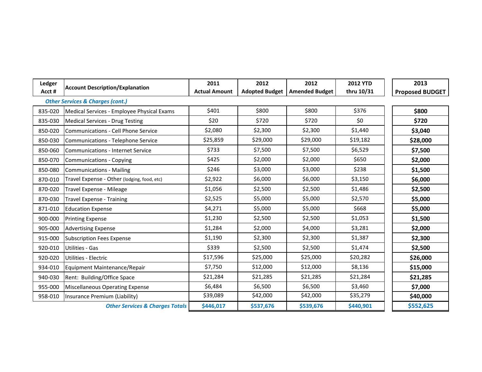| Ledger  | <b>Account Description/Explanation</b>      | 2011                 | 2012      | 2012                            | <b>2012 YTD</b> | 2013                   |
|---------|---------------------------------------------|----------------------|-----------|---------------------------------|-----------------|------------------------|
| Acct#   | <b>Other Services &amp; Charges (cont.)</b> | <b>Actual Amount</b> |           | Adopted Budget   Amended Budget | thru 10/31      | <b>Proposed BUDGET</b> |
|         |                                             | \$401                | \$800     | \$800                           | \$376           | \$800                  |
| 835-020 | Medical Services - Employee Physical Exams  |                      |           |                                 |                 |                        |
| 835-030 | <b>Medical Services - Drug Testing</b>      | \$20                 | \$720     | \$720                           | \$0             | \$720                  |
| 850-020 | Communications - Cell Phone Service         | \$2,080              | \$2,300   | \$2,300                         | \$1,440         | \$3,040                |
| 850-030 | Communications - Telephone Service          | \$25,859             | \$29,000  | \$29,000                        | \$19,182        | \$28,000               |
| 850-060 | <b>Communications - Internet Service</b>    | \$733                | \$7,500   | \$7,500                         | \$6,529         | \$7,500                |
| 850-070 | Communications - Copying                    | \$425                | \$2,000   | \$2,000                         | \$650           | \$2,000                |
| 850-080 | Communications - Mailing                    | \$246                | \$3,000   | \$3,000                         | \$238           | \$1,500                |
| 870-010 | Travel Expense - Other (lodging, food, etc) | \$2,922              | \$6,000   | \$6,000                         | \$3,150         | \$6,000                |
| 870-020 | Travel Expense - Mileage                    | \$1,056              | \$2,500   | \$2,500                         | \$1,486         | \$2,500                |
| 870-030 | <b>Travel Expense - Training</b>            | \$2,525              | \$5,000   | \$5,000                         | \$2,570         | \$5,000                |
| 871-010 | <b>Education Expense</b>                    | \$4,271              | \$5,000   | \$5,000                         | \$668           | \$5,000                |
| 900-000 | <b>Printing Expense</b>                     | \$1,230              | \$2,500   | \$2,500                         | \$1,053         | \$1,500                |
| 905-000 | <b>Advertising Expense</b>                  | \$1,284              | \$2,000   | \$4,000                         | \$3,281         | \$2,000                |
| 915-000 | <b>Subscription Fees Expense</b>            | \$1,190              | \$2,300   | \$2,300                         | \$1,387         | \$2,300                |
| 920-010 | Utilities - Gas                             | \$339                | \$2,500   | \$2,500                         | \$1,474         | \$2,500                |
| 920-020 | Utilities - Electric                        | \$17,596             | \$25,000  | \$25,000                        | \$20,282        | \$26,000               |
| 934-010 | Equipment Maintenance/Repair                | \$7,750              | \$12,000  | \$12,000                        | \$8,136         | \$15,000               |
| 940-030 | Rent: Building/Office Space                 | \$21,284             | \$21,285  | \$21,285                        | \$21,284        | \$21,285               |
| 955-000 | Miscellaneous Operating Expense             | \$6,484              | \$6,500   | \$6,500                         | \$3,460         | \$7,000                |
| 958-010 | Insurance Premium (Liability)               | \$39,089             | \$42,000  | \$42,000                        | \$35,279        | \$40,000               |
|         | <b>Other Services &amp; Charges Totals</b>  | \$446,017            | \$537,676 | \$539,676                       | \$440,901       | \$552,625              |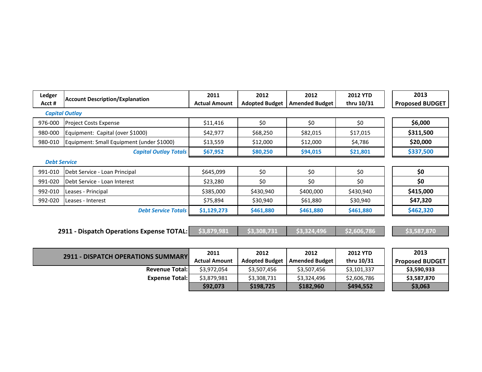| <b>Ledger</b><br>Acct# | <b>Account Description/Explanation</b>    | 2011<br><b>Actual Amount</b> | 2012<br><b>Adopted Budget</b> | 2012<br><b>Amended Budget</b> | <b>2012 YTD</b><br>thru 10/31 | 2013<br><b>Proposed BUDGET</b> |
|------------------------|-------------------------------------------|------------------------------|-------------------------------|-------------------------------|-------------------------------|--------------------------------|
|                        | <b>Capital Outlay</b>                     |                              |                               |                               |                               |                                |
| 976-000                | <b>Project Costs Expense</b>              | \$11,416                     | \$0                           | \$0                           | \$0                           | \$6,000                        |
| 980-000                | Equipment: Capital (over \$1000)          | \$42,977                     | \$68,250                      | \$82,015                      | \$17,015                      | \$311,500                      |
| 980-010                | Equipment: Small Equipment (under \$1000) | \$13,559                     | \$12,000                      | \$12,000                      | \$4,786                       | \$20,000                       |
|                        | <b>Capital Outlay Totals</b>              | \$67,952                     | \$80,250                      | \$94,015                      | \$21,801                      | \$337,500                      |
| <b>Debt Service</b>    |                                           |                              |                               |                               |                               |                                |
| 991-010                | Debt Service - Loan Principal             | \$645,099                    | \$0                           | \$0                           | \$0                           | \$0                            |
| 991-020                | Debt Service - Loan Interest              | \$23,280                     | \$0                           | \$0                           | \$0                           | \$0                            |
| 992-010                | Leases - Principal                        | \$385,000                    | \$430,940                     | \$400,000                     | \$430,940                     | \$415,000                      |
| 992-020                | Leases - Interest                         | \$75,894                     | \$30,940                      | \$61,880                      | \$30,940                      | \$47,320                       |
|                        | <b>Debt Service Totals</b>                | \$1,129,273                  | \$461,880                     | \$461,880                     | \$461,880                     | \$462,320                      |
|                        |                                           |                              |                               |                               |                               |                                |
|                        | 2911 - Dispatch Operations Expense TOTAL: | \$3,879,981                  | \$3,308,731                   | \$3,324,496                   | \$2,606,786                   | \$3,587,870                    |
|                        | <b>2911 - DISPATCH OPERATIONS SUMMARY</b> | 2011<br><b>Actual Amount</b> | 2012<br><b>Adopted Budget</b> | 2012<br><b>Amended Budget</b> | <b>2012 YTD</b><br>thru 10/31 | 2013<br><b>Proposed BUDGET</b> |

**\$92,073 \$198,725 \$182,960 \$494,552 \$3,063**

**Revenue Total:** \$3,972,054 \$3,507,456 **Expense Total:** \$3,879,981 \$3,308,731

| 2012                  | <b>2012 YTD</b> | 2013                   |
|-----------------------|-----------------|------------------------|
| <b>Amended Budget</b> | thru 10/31      | <b>Proposed BUDGET</b> |
| \$3,507,456           | \$3,101,337     | \$3,590,933            |
| \$3,324,496           | \$2,606,786     | \$3,587,870            |
| \$182,960             | \$494,552       | \$3,063                |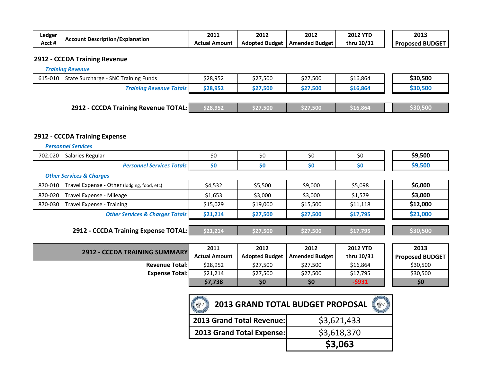| Ledger |                                         | 2011               | 2012                  | 2012                  | <b>2012 YTD</b> | 2013                      |
|--------|-----------------------------------------|--------------------|-----------------------|-----------------------|-----------------|---------------------------|
| Acct # | <b>IAccount Description/Explanation</b> | l Amount<br>Actual | <b>Adopted Budget</b> | <b>Amended Budget</b> | thru 10/31      | <b>BUDGET</b><br>Proposed |

### **2912 - CCCDA Training Revenue**

*Training Revenue*

| 615-010 | State Surcharge - SNC Training Funds | \$28,952 | \$27,500 | \$27,500 | \$16,864 | \$30,500 |
|---------|--------------------------------------|----------|----------|----------|----------|----------|
|         | <b>Training Revenue Totals</b>       | \$28,952 | \$27,500 | \$27,500 | \$16,864 | \$30,500 |
|         |                                      |          |          |          |          |          |

| <b>2912 - CCCDA Training Revenue TOTAL:</b><br>530.500<br>\$16,864<br>S27.50. |
|-------------------------------------------------------------------------------|
|-------------------------------------------------------------------------------|

### **2912 - CCCDA Training Expense**

|         | <b>Personnel Services</b>                   |          |          |          |                 |          |
|---------|---------------------------------------------|----------|----------|----------|-----------------|----------|
| 702.020 | Salaries Regular                            | \$0      | \$0      | \$0      | \$0             | \$9,500  |
|         | <b>Personnel Services Totals</b>            | \$0      | \$0      | \$0      | \$0             | \$9,500  |
|         | <b>Other Services &amp; Charges</b>         |          |          |          |                 |          |
| 870-010 | Travel Expense - Other (lodging, food, etc) | \$4,532  | \$5,500  | \$9,000  | \$5,098         | \$6,000  |
| 870-020 | Travel Expense - Mileage                    | \$1,653  | \$3,000  | \$3,000  | \$1,579         | \$3,000  |
| 870-030 | Travel Expense - Training                   | \$15,029 | \$19,000 | \$15,500 | \$11,118        | \$12,000 |
|         | <b>Other Services &amp; Charges Totals</b>  | \$21,214 | \$27,500 | \$27,500 | \$17,795        | \$21,000 |
|         |                                             |          |          |          |                 |          |
|         | 2912 - CCCDA Training Expense TOTAL:        | \$21,214 | \$27,500 | \$27,500 | \$17,795        | \$30,500 |
|         |                                             |          |          |          |                 |          |
|         | CCCDA TRAINING CURANAADV<br><b>CPOC</b>     | 2011     | 2012     | 2012     | <b>2012 YTD</b> | 2013     |

| <b>2912 - CCCDA TRAINING SUMMARY</b> | 2011                 | 2012      | 2012                            | <b>2012 YTD</b> | 2013                   |
|--------------------------------------|----------------------|-----------|---------------------------------|-----------------|------------------------|
|                                      | <b>Actual Amount</b> |           | Adopted Budget   Amended Budget | thru 10/31      | <b>Proposed BUDGET</b> |
| <b>Revenue Total:</b>                | \$28.952             | \$27.500  | \$27.500                        | \$16,864        | \$30.500               |
| <b>Expense Total:</b>                | \$21,214             | \$27,500  | \$27,500                        | \$17,795        | \$30,500               |
|                                      | \$7,738              | <b>SO</b> | \$0                             | -\$931          | \$0                    |

| 2013 GRAND TOTAL BUDGET PROPOSAL |             |  |  |
|----------------------------------|-------------|--|--|
| 2013 Grand Total Revenue:        | \$3,621,433 |  |  |
| 2013 Grand Total Expense:        | \$3,618,370 |  |  |
|                                  | \$3,063     |  |  |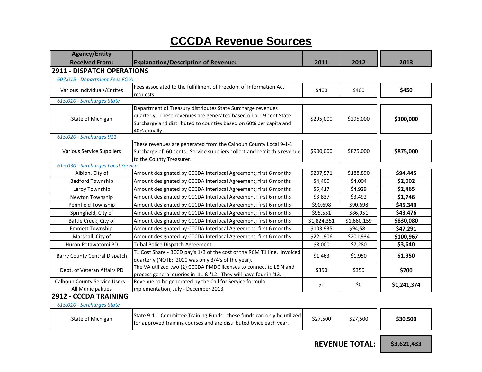## **CCCDA Revenue Sources**

| <b>Agency/Entity</b><br><b>Received From:</b>        | <b>Explanation/Description of Revenue:</b>                                                                                                                                                                            | 2011        | 2012        | 2013        |
|------------------------------------------------------|-----------------------------------------------------------------------------------------------------------------------------------------------------------------------------------------------------------------------|-------------|-------------|-------------|
| <b>2911 - DISPATCH OPERATIONS</b>                    |                                                                                                                                                                                                                       |             |             |             |
| 607.015 - Department Fees FOIA                       |                                                                                                                                                                                                                       |             |             |             |
| Various Individuals/Entites                          | Fees associated to the fulfillment of Freedom of Information Act<br>requests.                                                                                                                                         | \$400       | \$400       | \$450       |
| 615.010 - Surcharges State                           |                                                                                                                                                                                                                       |             |             |             |
| State of Michigan                                    | Department of Treasury distributes State Surcharge revenues<br>quarterly. These revenues are generated based on a .19 cent State<br>Surcharge and distributed to counties based on 60% per capita and<br>40% equally. | \$295,000   | \$295,000   | \$300,000   |
| 615.020 - Surcharges 911                             |                                                                                                                                                                                                                       |             |             |             |
| Various Service Suppliers                            | These revenues are generated from the Calhoun County Local 9-1-1<br>Surcharge of .60 cents. Service suppliers collect and remit this revenue<br>to the County Treasurer.                                              | \$900,000   | \$875,000   | \$875,000   |
| 615.030 - Surcharges Local Service                   |                                                                                                                                                                                                                       |             |             |             |
| Albion, City of                                      | Amount designated by CCCDA Interlocal Agreement; first 6 months                                                                                                                                                       | \$207,571   | \$188,890   | \$94,445    |
| <b>Bedford Township</b>                              | Amount designated by CCCDA Interlocal Agreement; first 6 months                                                                                                                                                       | \$4,400     | \$4,004     | \$2,002     |
| Leroy Township                                       | Amount designated by CCCDA Interlocal Agreement; first 6 months                                                                                                                                                       | \$5,417     | \$4,929     | \$2,465     |
| Newton Township                                      | Amount designated by CCCDA Interlocal Agreement; first 6 months                                                                                                                                                       | \$3,837     | \$3,492     | \$1,746     |
| Pennfield Township                                   | Amount designated by CCCDA Interlocal Agreement; first 6 months                                                                                                                                                       | \$90,698    | \$90,698    | \$45,349    |
| Springfield, City of                                 | Amount designated by CCCDA Interlocal Agreement; first 6 months                                                                                                                                                       | \$95,551    | \$86,951    | \$43,476    |
| Battle Creek, City of                                | Amount designated by CCCDA Interlocal Agreement; first 6 months                                                                                                                                                       | \$1,824,351 | \$1,660,159 | \$830,080   |
| <b>Emmett Township</b>                               | Amount designated by CCCDA Interlocal Agreement; first 6 months                                                                                                                                                       | \$103,935   | \$94,581    | \$47,291    |
| Marshall, City of                                    | Amount designated by CCCDA Interlocal Agreement; first 6 months                                                                                                                                                       | \$221,906   | \$201,934   | \$100,967   |
| Huron Potawatomi PD                                  | <b>Tribal Police Dispatch Agreement</b>                                                                                                                                                                               | \$8,000     | \$7,280     | \$3,640     |
| <b>Barry County Central Dispatch</b>                 | T1 Cost Share - BCCD pay's 1/3 of the cost of the RCM T1 line. Invoiced<br>quarterly (NOTE: 2010 was only 3/4's of the year).                                                                                         | \$1,463     | \$1,950     | \$1,950     |
| Dept. of Veteran Affairs PD                          | The VA utilized two (2) CCCDA PMDC licenses to connect to LEIN and<br>process general queries in '11 & '12. They will have four in '13.                                                                               | \$350       | \$350       | \$700       |
| Calhoun County Service Users -<br>All Municipalities | Revenue to be generated by the Call for Service formula<br>mplementation; July - December 2013                                                                                                                        | \$0         | \$0         | \$1,241,374 |
| 2912 - CCCDA TRAINING                                |                                                                                                                                                                                                                       |             |             |             |
| 615.010 - Surcharges State                           |                                                                                                                                                                                                                       |             |             |             |

| State of Michigan | State 9-1-1 Committee Training Funds - these funds can only be utilized<br>for approved training courses and are distributed twice each year. | \$27,500 | \$27.500 | \$30.500 |
|-------------------|-----------------------------------------------------------------------------------------------------------------------------------------------|----------|----------|----------|
|-------------------|-----------------------------------------------------------------------------------------------------------------------------------------------|----------|----------|----------|

 **REVENUE TOTAL:**

**\$3,621,433**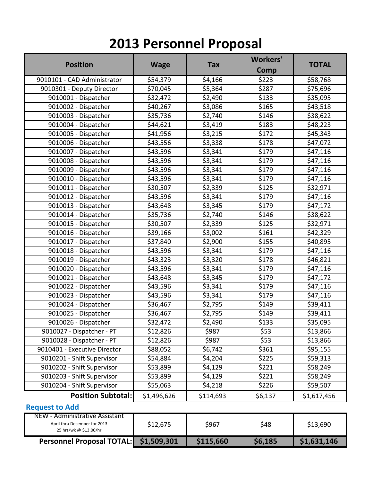## **2013 Personnel Proposal**

| <b>Position</b>                                                                          | <b>Wage</b> | <b>Tax</b> | <b>Workers'</b><br>Comp | <b>TOTAL</b> |
|------------------------------------------------------------------------------------------|-------------|------------|-------------------------|--------------|
| 9010101 - CAD Administrator                                                              | \$54,379    | \$4,166    | \$223                   | \$58,768     |
| 9010301 - Deputy Director                                                                | \$70,045    | \$5,364    | \$287                   | \$75,696     |
| 9010001 - Dispatcher                                                                     | \$32,472    | \$2,490    | \$133                   | \$35,095     |
| 9010002 - Dispatcher                                                                     | \$40,267    | \$3,086    | \$165                   | \$43,518     |
| 9010003 - Dispatcher                                                                     | \$35,736    | \$2,740    | \$146                   | \$38,622     |
| 9010004 - Dispatcher                                                                     | \$44,621    | \$3,419    | \$183                   | \$48,223     |
| 9010005 - Dispatcher                                                                     | \$41,956    | \$3,215    | \$172                   | \$45,343     |
| 9010006 - Dispatcher                                                                     | \$43,556    | \$3,338    | \$178                   | \$47,072     |
| 9010007 - Dispatcher                                                                     | \$43,596    | \$3,341    | \$179                   | \$47,116     |
| 9010008 - Dispatcher                                                                     | \$43,596    | \$3,341    | \$179                   | \$47,116     |
| 9010009 - Dispatcher                                                                     | \$43,596    | \$3,341    | \$179                   | \$47,116     |
| 9010010 - Dispatcher                                                                     | \$43,596    | \$3,341    | \$179                   | \$47,116     |
| 9010011 - Dispatcher                                                                     | \$30,507    | \$2,339    | \$125                   | \$32,971     |
| 9010012 - Dispatcher                                                                     | \$43,596    | \$3,341    | \$179                   | \$47,116     |
| 9010013 - Dispatcher                                                                     | \$43,648    | \$3,345    | \$179                   | \$47,172     |
| 9010014 - Dispatcher                                                                     | \$35,736    | \$2,740    | \$146                   | \$38,622     |
| 9010015 - Dispatcher                                                                     | \$30,507    | \$2,339    | \$125                   | \$32,971     |
| 9010016 - Dispatcher                                                                     | \$39,166    | \$3,002    | \$161                   | \$42,329     |
| 9010017 - Dispatcher                                                                     | \$37,840    | \$2,900    | \$155                   | \$40,895     |
| 9010018 - Dispatcher                                                                     | \$43,596    | \$3,341    | \$179                   | \$47,116     |
| 9010019 - Dispatcher                                                                     | \$43,323    | \$3,320    | \$178                   | \$46,821     |
| 9010020 - Dispatcher                                                                     | \$43,596    | \$3,341    | \$179                   | \$47,116     |
| 9010021 - Dispatcher                                                                     | \$43,648    | \$3,345    | \$179                   | \$47,172     |
| 9010022 - Dispatcher                                                                     | \$43,596    | \$3,341    | \$179                   | \$47,116     |
| 9010023 - Dispatcher                                                                     | \$43,596    | \$3,341    | \$179                   | \$47,116     |
| 9010024 - Dispatcher                                                                     | \$36,467    | \$2,795    | \$149                   | \$39,411     |
| 9010025 - Dispatcher                                                                     | \$36,467    | \$2,795    | \$149                   | \$39,411     |
| 9010026 - Dispatcher                                                                     | \$32,472    | \$2,490    | \$133                   | \$35,095     |
| 9010027 - Dispatcher - PT                                                                | \$12,826    | \$987      | \$53                    | \$13,866     |
| 9010028 - Dispatcher - PT                                                                | \$12,826    | \$987      | \$53                    | \$13,866     |
| 9010401 - Executive Director                                                             | \$88,052    | \$6,742    | \$361                   | \$95,155     |
| 9010201 - Shift Supervisor                                                               | \$54,884    | \$4,204    | \$225                   | \$59,313     |
| 9010202 - Shift Supervisor                                                               | \$53,899    | \$4,129    | \$221                   | \$58,249     |
| 9010203 - Shift Supervisor                                                               | \$53,899    | \$4,129    | \$221                   | \$58,249     |
| 9010204 - Shift Supervisor                                                               | \$55,063    | \$4,218    | \$226                   | \$59,507     |
| <b>Position Subtotal:</b>                                                                | \$1,496,626 | \$114,693  | \$6,137                 | \$1,617,456  |
| <b>Request to Add</b>                                                                    |             |            |                         |              |
| NEW - Administrative Assistant<br>April thru December for 2013<br>25 hrs/wk @ \$13.00/hr | \$12,675    | \$967      | \$48                    | \$13,690     |

**Personnel Proposal TOTAL: \$1,509,301 \$115,660 \$6,185 \$1,631,146**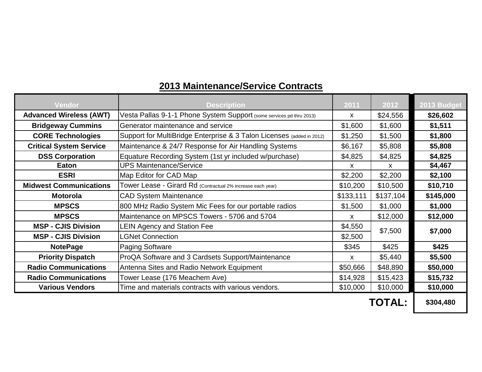### **Advanced Wireless (AWT)** Vesta Pallas 9-1-1 Phone System Support (some services pd thru 2013) x | \$24,556 **\$26,602 Bridgeway Cummins** Generator maintenance and service **\$1,600 \$1,600 \$1,511** \$1,600 \$1,511 **CORE Technologies** Support for MultiBridge Enterprise & 3 Talon Licenses (added in 2012) \$1,250 \$1,500 \$1,800 **Critical System Service** Maintenance & 24/7 Response for Air Handling Systems  $\vert$  \$6,167  $\vert$  \$5,808 \$5,808 **DSS Corporation** Equature Recording System (1st yr included w/purchase)  $\parallel$  \$4,825  $\parallel$  \$4,825 \$4,825 **Eaton** UPS Maintenance/Service x x x x \$4,467 **ESRI** Map Editor for CAD Map **62,200** \$2,200 \$2,200 \$2,100 **Midwest Communications** Tower Lease - Girard Rd (Contractual 2% increase each year) \$10,200 \$10,500 \$10,710 **Motorola** CAD System Maintenance **\$133,111 \$137,104 \$145,000 MPSCS** 800 MHz Radio System Mic Fees for our portable radios 81,500 \$1,000 \$1,000 **MPSCS** Maintenance on MPSCS Towers - 5706 and 5704 x  $\vert$  \$12,000 \$12,000 **MSP - CJIS Division** LEIN Agency and Station Fee \$4,550 **MSP - CJIS Division** | LGNet Connection **| \$2,500 NotePage** Paging Software **\$425 \$425 \$425 Priority Dispatch** ProQA Software and 3 Cardsets Support/Maintenance **x** x \$5,440 **\$5,500 Radio Communications** Antenna Sites and Radio Network Equipment 1 1 \$50,666 \$48,890 **\$50,000** \$50,000 **Radio Communications** Tower Lease (176 Meachem Ave) \$14,928 \$15,423 **\$15,732 Various Vendors** Time and materials contracts with various vendors. <br>\$10,000 \$10,000 \$10,000 **2013 Budget** \$7,500 **Vendor Description 2011 2012 \$7,000**

### **2013 Maintenance/Service Contracts**

**TOTAL:**

**\$304,480**